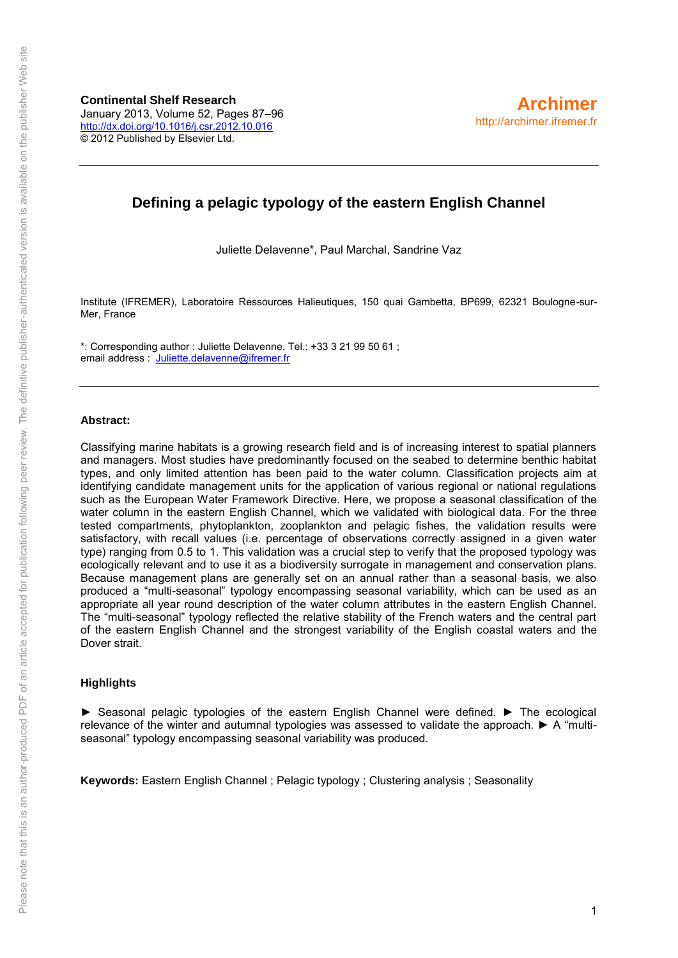**Continental Shelf Research** January 2013, Volume 52, Pages 87–96 <http://dx.doi.org/10.1016/j.csr.2012.10.016> © 2012 Published by Elsevier Ltd.

# **Defining a pelagic typology of the eastern English Channel**

Juliette Delavenne\*, Paul Marchal, Sandrine Vaz

Institute (IFREMER), Laboratoire Ressources Halieutiques, 150 quai Gambetta, BP699, 62321 Boulogne-sur-Mer, France

\*: Corresponding author : Juliette Delavenne, Tel.: +33 3 21 99 50 61 ; email address : [Juliette.delavenne@ifremer.fr](mailto:Juliette.delavenne@ifremer.fr) 

#### **Abstract:**

Classifying marine habitats is a growing research field and is of increasing interest to spatial planners and managers. Most studies have predominantly focused on the seabed to determine benthic habitat types, and only limited attention has been paid to the water column. Classification projects aim at identifying candidate management units for the application of various regional or national regulations such as the European Water Framework Directive. Here, we propose a seasonal classification of the water column in the eastern English Channel, which we validated with biological data. For the three tested compartments, phytoplankton, zooplankton and pelagic fishes, the validation results were satisfactory, with recall values (i.e. percentage of observations correctly assigned in a given water type) ranging from 0.5 to 1. This validation was a crucial step to verify that the proposed typology was ecologically relevant and to use it as a biodiversity surrogate in management and conservation plans. Because management plans are generally set on an annual rather than a seasonal basis, we also produced a "multi-seasonal" typology encompassing seasonal variability, which can be used as an appropriate all year round description of the water column attributes in the eastern English Channel. The "multi-seasonal" typology reflected the relative stability of the French waters and the central part of the eastern English Channel and the strongest variability of the English coastal waters and the Dover strait.

#### **Highlights**

► Seasonal pelagic typologies of the eastern English Channel were defined. ► The ecological relevance of the winter and autumnal typologies was assessed to validate the approach. ► A "multiseasonal" typology encompassing seasonal variability was produced.

**Keywords:** Eastern English Channel ; Pelagic typology ; Clustering analysis ; Seasonality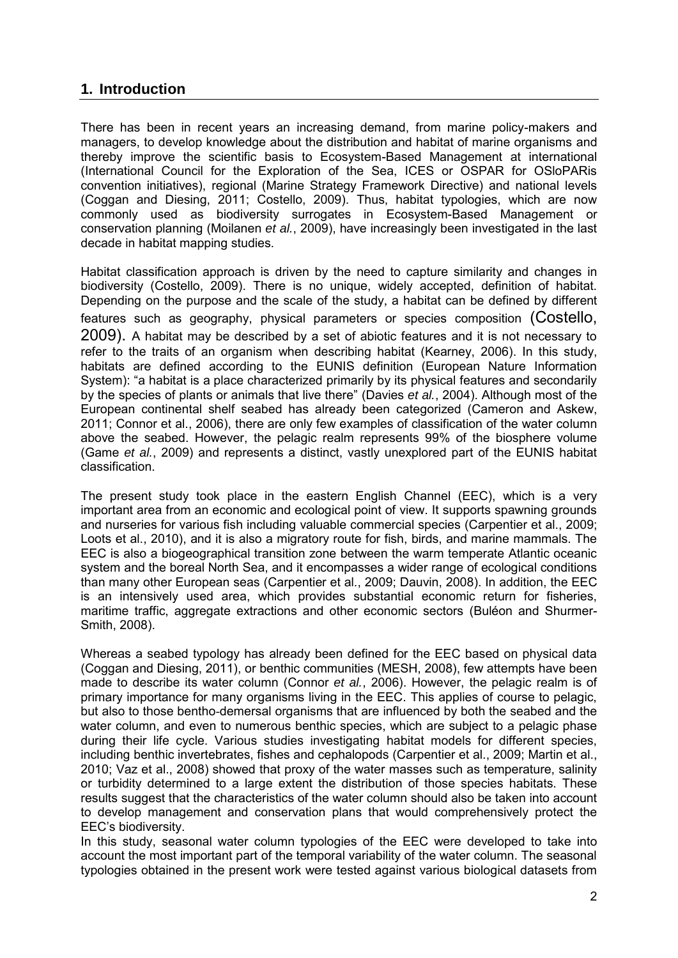# **1. Introduction**

There has been in recent years an increasing demand, from marine policy-makers and managers, to develop knowledge about the distribution and habitat of marine organisms and thereby improve the scientific basis to Ecosystem-Based Management at international (International Council for the Exploration of the Sea, ICES or OSPAR for OSloPARis convention initiatives), regional (Marine Strategy Framework Directive) and national levels [\(Coggan and Diesing, 2011;](#page-8-0) [Costello, 2009\)](#page-8-1). Thus, habitat typologies, which are now commonly used as biodiversity surrogates in Ecosystem-Based Management or conservation planning [\(Moilanen](#page-9-0) *et al.*, 2009), have increasingly been investigated in the last decade in habitat mapping studies.

Habitat classification approach is driven by the need to capture similarity and changes in biodiversity [\(Costello, 2009\)](#page-8-1). There is no unique, widely accepted, definition of habitat. Depending on the purpose and the scale of the study, a habitat can be defined by different features such as geography, physical parameters or species composition [\(Costello,](#page-8-1)  [2009\)](#page-8-1). A habitat may be described by a set of abiotic features and it is not necessary to refer to the traits of an organism when describing habitat [\(Kearney, 2006\)](#page-9-1). In this study, habitats are defined according to the EUNIS definition (European Nature Information System): "a habitat is a place characterized primarily by its physical features and secondarily by the species of plants or animals that live there" [\(Davies](#page-9-2) *et al.*, 2004). Although most of the European continental shelf seabed has already been categorized [\(Cameron and Askew,](#page-8-2)  [2011;](#page-8-2) [Connor et al., 2006\)](#page-8-3), there are only few examples of classification of the water column above the seabed. However, the pelagic realm represents 99% of the biosphere volume (Game *et al.*[, 2009\)](#page-9-3) and represents a distinct, vastly unexplored part of the EUNIS habitat classification.

The present study took place in the eastern English Channel (EEC), which is a very important area from an economic and ecological point of view. It supports spawning grounds and nurseries for various fish including valuable commercial species [\(Carpentier et al., 2009;](#page-8-4) [Loots et al., 2010\)](#page-9-4), and it is also a migratory route for fish, birds, and marine mammals. The EEC is also a biogeographical transition zone between the warm temperate Atlantic oceanic system and the boreal North Sea, and it encompasses a wider range of ecological conditions than many other European seas [\(Carpentier et al., 2009;](#page-8-4) [Dauvin, 2008\)](#page-9-5). In addition, the EEC is an intensively used area, which provides substantial economic return for fisheries, maritime traffic, aggregate extractions and other economic sectors [\(Buléon and Shurmer-](#page-8-5)[Smith, 2008\)](#page-8-5).

Whereas a seabed typology has already been defined for the EEC based on physical data [\(Coggan and Diesing, 2011\)](#page-8-0), or benthic communities [\(MESH, 2008\)](#page-9-6), few attempts have been made to describe its water column [\(Connor](#page-8-3) *et al.*, 2006). However, the pelagic realm is of primary importance for many organisms living in the EEC. This applies of course to pelagic, but also to those bentho-demersal organisms that are influenced by both the seabed and the water column, and even to numerous benthic species, which are subject to a pelagic phase during their life cycle. Various studies investigating habitat models for different species, including benthic invertebrates, fishes and cephalopods [\(Carpentier et al., 2009;](#page-8-4) [Martin et al.,](#page-9-7)  [2010;](#page-9-7) [Vaz et al., 2008\)](#page-10-0) showed that proxy of the water masses such as temperature, salinity or turbidity determined to a large extent the distribution of those species habitats. These results suggest that the characteristics of the water column should also be taken into account to develop management and conservation plans that would comprehensively protect the EEC's biodiversity.

In this study, seasonal water column typologies of the EEC were developed to take into account the most important part of the temporal variability of the water column. The seasonal typologies obtained in the present work were tested against various biological datasets from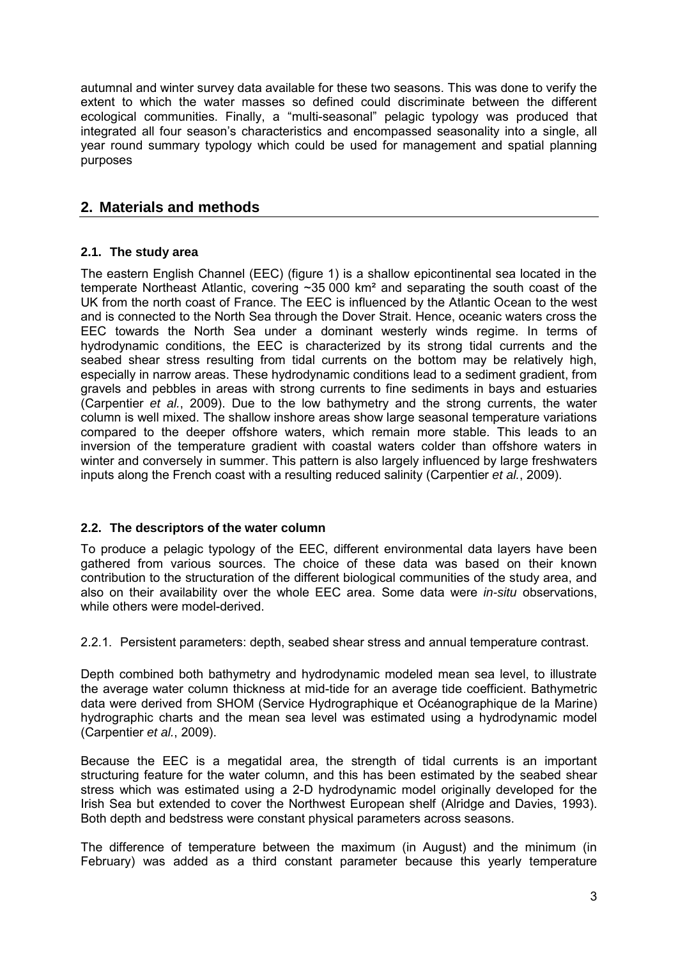autumnal and winter survey data available for these two seasons. This was done to verify the extent to which the water masses so defined could discriminate between the different ecological communities. Finally, a "multi-seasonal" pelagic typology was produced that integrated all four season's characteristics and encompassed seasonality into a single, all year round summary typology which could be used for management and spatial planning purposes

# **2. Materials and methods**

#### **2.1. The study area**

The eastern English Channel (EEC) (figure 1) is a shallow epicontinental sea located in the temperate Northeast Atlantic, covering ~35 000 km² and separating the south coast of the UK from the north coast of France. The EEC is influenced by the Atlantic Ocean to the west and is connected to the North Sea through the Dover Strait. Hence, oceanic waters cross the EEC towards the North Sea under a dominant westerly winds regime. In terms of hydrodynamic conditions, the EEC is characterized by its strong tidal currents and the seabed shear stress resulting from tidal currents on the bottom may be relatively high, especially in narrow areas. These hydrodynamic conditions lead to a sediment gradient, from gravels and pebbles in areas with strong currents to fine sediments in bays and estuaries [\(Carpentier](#page-8-4) *et al.*, 2009). Due to the low bathymetry and the strong currents, the water column is well mixed. The shallow inshore areas show large seasonal temperature variations compared to the deeper offshore waters, which remain more stable. This leads to an inversion of the temperature gradient with coastal waters colder than offshore waters in winter and conversely in summer. This pattern is also largely influenced by large freshwaters inputs along the French coast with a resulting reduced salinity [\(Carpentier](#page-8-4) *et al.*, 2009).

## **2.2. The descriptors of the water column**

To produce a pelagic typology of the EEC, different environmental data layers have been gathered from various sources. The choice of these data was based on their known contribution to the structuration of the different biological communities of the study area, and also on their availability over the whole EEC area. Some data were *in-situ* observations, while others were model-derived.

2.2.1. Persistent parameters: depth, seabed shear stress and annual temperature contrast.

Depth combined both bathymetry and hydrodynamic modeled mean sea level, to illustrate the average water column thickness at mid-tide for an average tide coefficient. Bathymetric data were derived from SHOM (Service Hydrographique et Océanographique de la Marine) hydrographic charts and the mean sea level was estimated using a hydrodynamic model [\(Carpentier](#page-8-4) *et al.*, 2009).

Because the EEC is a megatidal area, the strength of tidal currents is an important structuring feature for the water column, and this has been estimated by the seabed shear stress which was estimated using a 2-D hydrodynamic model originally developed for the Irish Sea but extended to cover the Northwest European shelf [\(Alridge and Davies, 1993\)](#page-8-6). Both depth and bedstress were constant physical parameters across seasons.

The difference of temperature between the maximum (in August) and the minimum (in February) was added as a third constant parameter because this yearly temperature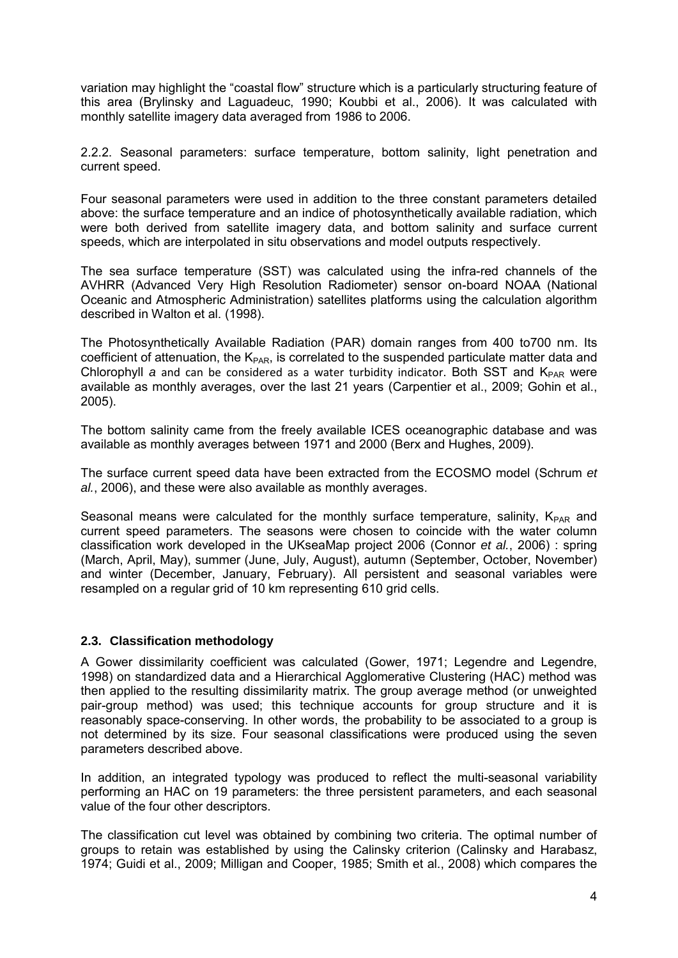variation may highlight the "coastal flow" structure which is a particularly structuring feature of this area [\(Brylinsky and Laguadeuc, 1990;](#page-8-7) [Koubbi et al., 2006\)](#page-9-8). It was calculated with monthly satellite imagery data averaged from 1986 to 2006.

2.2.2. Seasonal parameters: surface temperature, bottom salinity, light penetration and current speed.

Four seasonal parameters were used in addition to the three constant parameters detailed above: the surface temperature and an indice of photosynthetically available radiation, which were both derived from satellite imagery data, and bottom salinity and surface current speeds, which are interpolated in situ observations and model outputs respectively.

The sea surface temperature (SST) was calculated using the infra-red channels of the AVHRR (Advanced Very High Resolution Radiometer) sensor on-board NOAA (National Oceanic and Atmospheric Administration) satellites platforms using the calculation algorithm described in Walton et al. [\(1998\)](#page-10-1).

The Photosynthetically Available Radiation (PAR) domain ranges from 400 to700 nm. Its coefficient of attenuation, the  $K_{PAR}$ , is correlated to the suspended particulate matter data and Chlorophyll *a* and can be considered as a water turbidity indicator. Both SST and K<sub>PAR</sub> were available as monthly averages, over the last 21 years [\(Carpentier et al., 2009;](#page-8-4) [Gohin et al.,](#page-9-9)  [2005\)](#page-9-9).

The bottom salinity came from the freely available ICES oceanographic database and was available as monthly averages between 1971 and 2000 [\(Berx and Hughes, 2009\)](#page-8-8).

The surface current speed data have been extracted from the ECOSMO model [\(Schrum](#page-9-10) *et al.*[, 2006\)](#page-9-10), and these were also available as monthly averages.

Seasonal means were calculated for the monthly surface temperature, salinity,  $K_{PAR}$  and current speed parameters. The seasons were chosen to coincide with the water column classification work developed in the UKseaMap project 2006 [\(Connor](#page-8-3) *et al.*, 2006) : spring (March, April, May), summer (June, July, August), autumn (September, October, November) and winter (December, January, February). All persistent and seasonal variables were resampled on a regular grid of 10 km representing 610 grid cells.

#### **2.3. Classification methodology**

A Gower dissimilarity coefficient was calculated [\(Gower, 1971;](#page-9-11) [Legendre and Legendre,](#page-9-12)  [1998\)](#page-9-12) on standardized data and a Hierarchical Agglomerative Clustering (HAC) method was then applied to the resulting dissimilarity matrix. The group average method (or unweighted pair-group method) was used; this technique accounts for group structure and it is reasonably space-conserving. In other words, the probability to be associated to a group is not determined by its size. Four seasonal classifications were produced using the seven parameters described above.

In addition, an integrated typology was produced to reflect the multi-seasonal variability performing an HAC on 19 parameters: the three persistent parameters, and each seasonal value of the four other descriptors.

The classification cut level was obtained by combining two criteria. The optimal number of groups to retain was established by using the Calinsky criterion [\(Calinsky and Harabasz,](#page-8-9)  [1974;](#page-8-9) [Guidi et al., 2009;](#page-9-13) [Milligan and Cooper, 1985;](#page-9-14) [Smith et al., 2008\)](#page-9-15) which compares the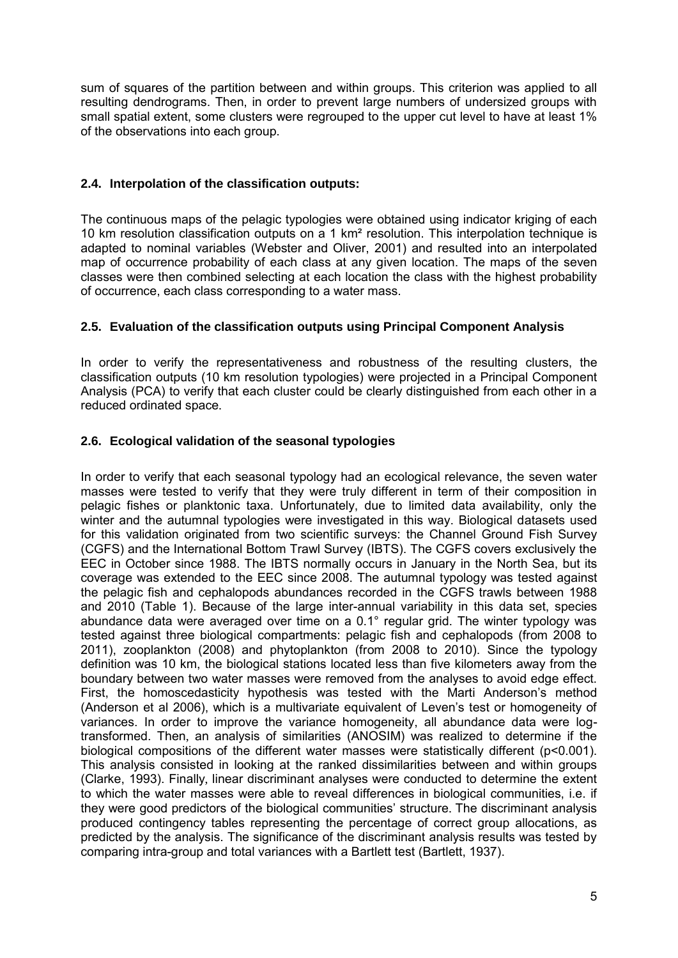sum of squares of the partition between and within groups. This criterion was applied to all resulting dendrograms. Then, in order to prevent large numbers of undersized groups with small spatial extent, some clusters were regrouped to the upper cut level to have at least 1% of the observations into each group.

## **2.4. Interpolation of the classification outputs:**

The continuous maps of the pelagic typologies were obtained using indicator kriging of each 10 km resolution classification outputs on a 1 km<sup>2</sup> resolution. This interpolation technique is adapted to nominal variables [\(Webster and Oliver, 2001\)](#page-10-2) and resulted into an interpolated map of occurrence probability of each class at any given location. The maps of the seven classes were then combined selecting at each location the class with the highest probability of occurrence, each class corresponding to a water mass.

# **2.5. Evaluation of the classification outputs using Principal Component Analysis**

In order to verify the representativeness and robustness of the resulting clusters, the classification outputs (10 km resolution typologies) were projected in a Principal Component Analysis (PCA) to verify that each cluster could be clearly distinguished from each other in a reduced ordinated space.

## **2.6. Ecological validation of the seasonal typologies**

In order to verify that each seasonal typology had an ecological relevance, the seven water masses were tested to verify that they were truly different in term of their composition in pelagic fishes or planktonic taxa. Unfortunately, due to limited data availability, only the winter and the autumnal typologies were investigated in this way. Biological datasets used for this validation originated from two scientific surveys: the Channel Ground Fish Survey (CGFS) and the International Bottom Trawl Survey (IBTS). The CGFS covers exclusively the EEC in October since 1988. The IBTS normally occurs in January in the North Sea, but its coverage was extended to the EEC since 2008. The autumnal typology was tested against the pelagic fish and cephalopods abundances recorded in the CGFS trawls between 1988 and 2010 (Table 1). Because of the large inter-annual variability in this data set, species abundance data were averaged over time on a 0.1° regular grid. The winter typology was tested against three biological compartments: pelagic fish and cephalopods (from 2008 to 2011), zooplankton (2008) and phytoplankton (from 2008 to 2010). Since the typology definition was 10 km, the biological stations located less than five kilometers away from the boundary between two water masses were removed from the analyses to avoid edge effect. First, the homoscedasticity hypothesis was tested with the Marti Anderson's method (Anderson et al 2006), which is a multivariate equivalent of Leven's test or homogeneity of variances. In order to improve the variance homogeneity, all abundance data were logtransformed. Then, an analysis of similarities (ANOSIM) was realized to determine if the biological compositions of the different water masses were statistically different (p<0.001). This analysis consisted in looking at the ranked dissimilarities between and within groups [\(Clarke, 1993\)](#page-8-10). Finally, linear discriminant analyses were conducted to determine the extent to which the water masses were able to reveal differences in biological communities, i.e. if they were good predictors of the biological communities' structure. The discriminant analysis produced contingency tables representing the percentage of correct group allocations, as predicted by the analysis. The significance of the discriminant analysis results was tested by comparing intra-group and total variances with a Bartlett test [\(Bartlett, 1937\)](#page-8-11).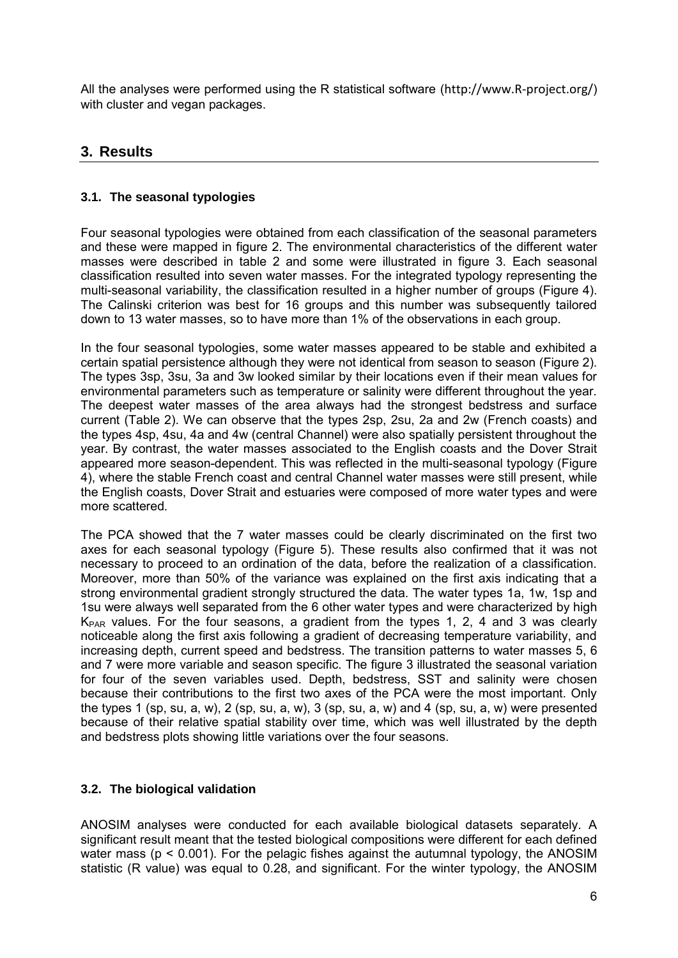All the analyses were performed using the R statistical software (http://www.R-project.org/) with cluster and vegan packages.

# **3. Results**

#### **3.1. The seasonal typologies**

Four seasonal typologies were obtained from each classification of the seasonal parameters and these were mapped in figure 2. The environmental characteristics of the different water masses were described in table 2 and some were illustrated in figure 3. Each seasonal classification resulted into seven water masses. For the integrated typology representing the multi-seasonal variability, the classification resulted in a higher number of groups (Figure 4). The Calinski criterion was best for 16 groups and this number was subsequently tailored down to 13 water masses, so to have more than 1% of the observations in each group.

In the four seasonal typologies, some water masses appeared to be stable and exhibited a certain spatial persistence although they were not identical from season to season (Figure 2). The types 3sp, 3su, 3a and 3w looked similar by their locations even if their mean values for environmental parameters such as temperature or salinity were different throughout the year. The deepest water masses of the area always had the strongest bedstress and surface current (Table 2). We can observe that the types 2sp, 2su, 2a and 2w (French coasts) and the types 4sp, 4su, 4a and 4w (central Channel) were also spatially persistent throughout the year. By contrast, the water masses associated to the English coasts and the Dover Strait appeared more season-dependent. This was reflected in the multi-seasonal typology (Figure 4), where the stable French coast and central Channel water masses were still present, while the English coasts, Dover Strait and estuaries were composed of more water types and were more scattered.

The PCA showed that the 7 water masses could be clearly discriminated on the first two axes for each seasonal typology (Figure 5). These results also confirmed that it was not necessary to proceed to an ordination of the data, before the realization of a classification. Moreover, more than 50% of the variance was explained on the first axis indicating that a strong environmental gradient strongly structured the data. The water types 1a, 1w, 1sp and 1su were always well separated from the 6 other water types and were characterized by high  $K_{PAR}$  values. For the four seasons, a gradient from the types 1, 2, 4 and 3 was clearly noticeable along the first axis following a gradient of decreasing temperature variability, and increasing depth, current speed and bedstress. The transition patterns to water masses 5, 6 and 7 were more variable and season specific. The figure 3 illustrated the seasonal variation for four of the seven variables used. Depth, bedstress, SST and salinity were chosen because their contributions to the first two axes of the PCA were the most important. Only the types 1 (sp, su, a, w), 2 (sp, su, a, w), 3 (sp, su, a, w) and 4 (sp, su, a, w) were presented because of their relative spatial stability over time, which was well illustrated by the depth and bedstress plots showing little variations over the four seasons.

## **3.2. The biological validation**

ANOSIM analyses were conducted for each available biological datasets separately. A significant result meant that the tested biological compositions were different for each defined water mass ( $p < 0.001$ ). For the pelagic fishes against the autumnal typology, the ANOSIM statistic (R value) was equal to 0.28, and significant. For the winter typology, the ANOSIM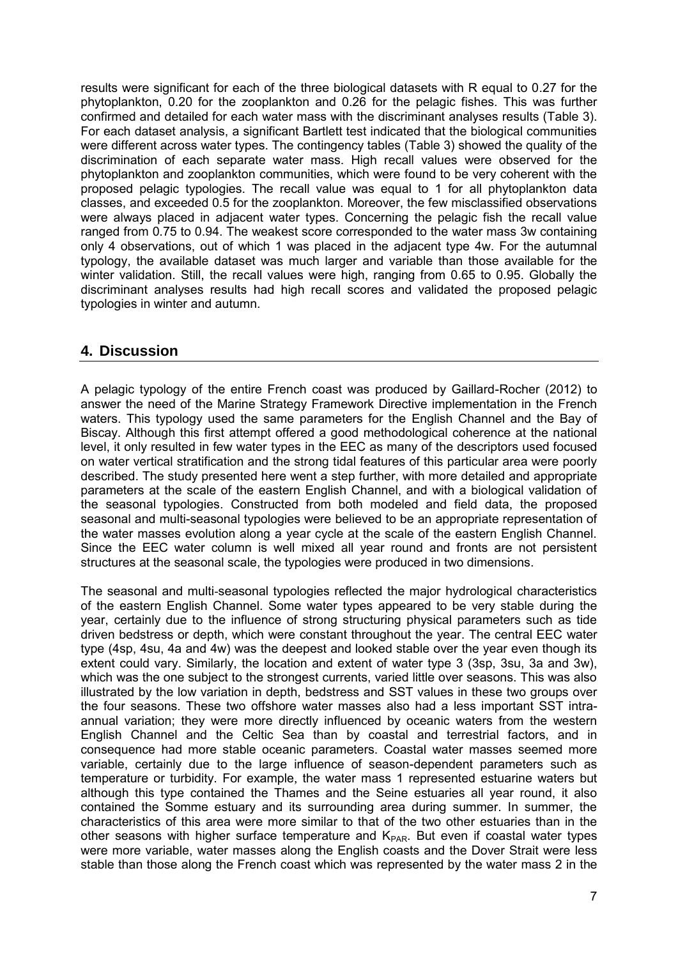results were significant for each of the three biological datasets with R equal to 0.27 for the phytoplankton, 0.20 for the zooplankton and 0.26 for the pelagic fishes. This was further confirmed and detailed for each water mass with the discriminant analyses results (Table 3). For each dataset analysis, a significant Bartlett test indicated that the biological communities were different across water types. The contingency tables (Table 3) showed the quality of the discrimination of each separate water mass. High recall values were observed for the phytoplankton and zooplankton communities, which were found to be very coherent with the proposed pelagic typologies. The recall value was equal to 1 for all phytoplankton data classes, and exceeded 0.5 for the zooplankton. Moreover, the few misclassified observations were always placed in adjacent water types. Concerning the pelagic fish the recall value ranged from 0.75 to 0.94. The weakest score corresponded to the water mass 3w containing only 4 observations, out of which 1 was placed in the adjacent type 4w. For the autumnal typology, the available dataset was much larger and variable than those available for the winter validation. Still, the recall values were high, ranging from 0.65 to 0.95. Globally the discriminant analyses results had high recall scores and validated the proposed pelagic typologies in winter and autumn.

# **4. Discussion**

A pelagic typology of the entire French coast was produced by Gaillard-Rocher [\(2012\)](#page-9-16) to answer the need of the Marine Strategy Framework Directive implementation in the French waters. This typology used the same parameters for the English Channel and the Bay of Biscay. Although this first attempt offered a good methodological coherence at the national level, it only resulted in few water types in the EEC as many of the descriptors used focused on water vertical stratification and the strong tidal features of this particular area were poorly described. The study presented here went a step further, with more detailed and appropriate parameters at the scale of the eastern English Channel, and with a biological validation of the seasonal typologies. Constructed from both modeled and field data, the proposed seasonal and multi-seasonal typologies were believed to be an appropriate representation of the water masses evolution along a year cycle at the scale of the eastern English Channel. Since the EEC water column is well mixed all year round and fronts are not persistent structures at the seasonal scale, the typologies were produced in two dimensions.

The seasonal and multi-seasonal typologies reflected the major hydrological characteristics of the eastern English Channel. Some water types appeared to be very stable during the year, certainly due to the influence of strong structuring physical parameters such as tide driven bedstress or depth, which were constant throughout the year. The central EEC water type (4sp, 4su, 4a and 4w) was the deepest and looked stable over the year even though its extent could vary. Similarly, the location and extent of water type 3 (3sp, 3su, 3a and 3w), which was the one subject to the strongest currents, varied little over seasons. This was also illustrated by the low variation in depth, bedstress and SST values in these two groups over the four seasons. These two offshore water masses also had a less important SST intraannual variation; they were more directly influenced by oceanic waters from the western English Channel and the Celtic Sea than by coastal and terrestrial factors, and in consequence had more stable oceanic parameters. Coastal water masses seemed more variable, certainly due to the large influence of season-dependent parameters such as temperature or turbidity. For example, the water mass 1 represented estuarine waters but although this type contained the Thames and the Seine estuaries all year round, it also contained the Somme estuary and its surrounding area during summer. In summer, the characteristics of this area were more similar to that of the two other estuaries than in the other seasons with higher surface temperature and  $K_{PAR}$ . But even if coastal water types were more variable, water masses along the English coasts and the Dover Strait were less stable than those along the French coast which was represented by the water mass 2 in the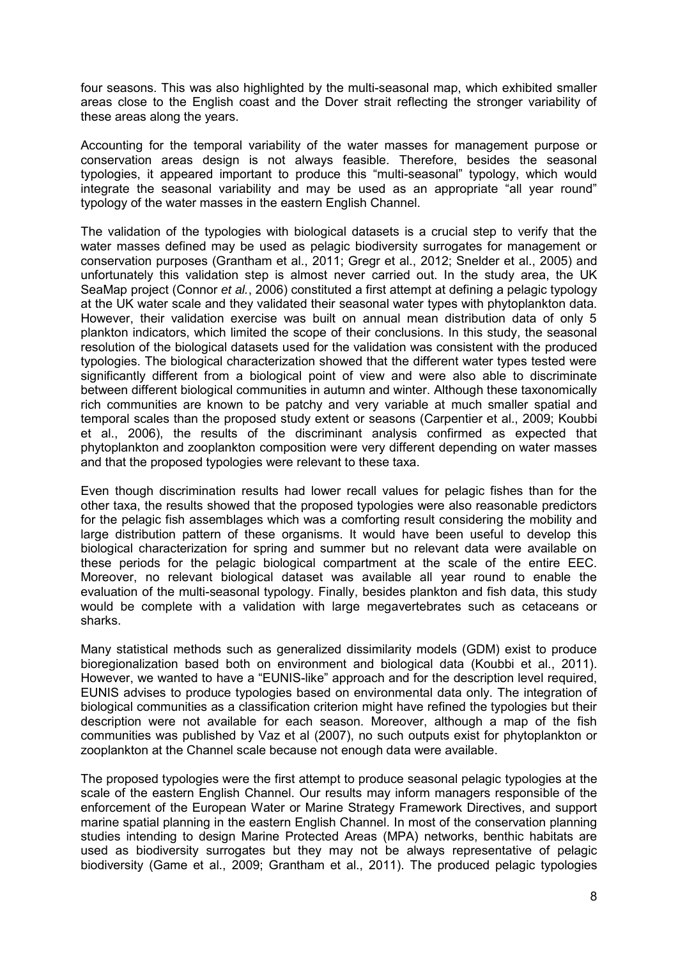four seasons. This was also highlighted by the multi-seasonal map, which exhibited smaller areas close to the English coast and the Dover strait reflecting the stronger variability of these areas along the years.

Accounting for the temporal variability of the water masses for management purpose or conservation areas design is not always feasible. Therefore, besides the seasonal typologies, it appeared important to produce this "multi-seasonal" typology, which would integrate the seasonal variability and may be used as an appropriate "all year round" typology of the water masses in the eastern English Channel.

The validation of the typologies with biological datasets is a crucial step to verify that the water masses defined may be used as pelagic biodiversity surrogates for management or conservation purposes [\(Grantham et al., 2011;](#page-9-17) [Gregr et al., 2012;](#page-9-18) [Snelder et al., 2005\)](#page-10-3) and unfortunately this validation step is almost never carried out. In the study area, the UK SeaMap project [\(Connor](#page-8-3) *et al.*, 2006) constituted a first attempt at defining a pelagic typology at the UK water scale and they validated their seasonal water types with phytoplankton data. However, their validation exercise was built on annual mean distribution data of only 5 plankton indicators, which limited the scope of their conclusions. In this study, the seasonal resolution of the biological datasets used for the validation was consistent with the produced typologies. The biological characterization showed that the different water types tested were significantly different from a biological point of view and were also able to discriminate between different biological communities in autumn and winter. Although these taxonomically rich communities are known to be patchy and very variable at much smaller spatial and temporal scales than the proposed study extent or seasons [\(Carpentier et al., 2009;](#page-8-4) [Koubbi](#page-9-8)  [et al., 2006\)](#page-9-8), the results of the discriminant analysis confirmed as expected that phytoplankton and zooplankton composition were very different depending on water masses and that the proposed typologies were relevant to these taxa.

Even though discrimination results had lower recall values for pelagic fishes than for the other taxa, the results showed that the proposed typologies were also reasonable predictors for the pelagic fish assemblages which was a comforting result considering the mobility and large distribution pattern of these organisms. It would have been useful to develop this biological characterization for spring and summer but no relevant data were available on these periods for the pelagic biological compartment at the scale of the entire EEC. Moreover, no relevant biological dataset was available all year round to enable the evaluation of the multi-seasonal typology. Finally, besides plankton and fish data, this study would be complete with a validation with large megavertebrates such as cetaceans or sharks.

Many statistical methods such as generalized dissimilarity models (GDM) exist to produce bioregionalization based both on environment and biological data [\(Koubbi et al., 2011\)](#page-9-19). However, we wanted to have a "EUNIS-like" approach and for the description level required, EUNIS advises to produce typologies based on environmental data only. The integration of biological communities as a classification criterion might have refined the typologies but their description were not available for each season. Moreover, although a map of the fish communities was published by Vaz et al [\(2007\)](#page-10-4), no such outputs exist for phytoplankton or zooplankton at the Channel scale because not enough data were available.

The proposed typologies were the first attempt to produce seasonal pelagic typologies at the scale of the eastern English Channel. Our results may inform managers responsible of the enforcement of the European Water or Marine Strategy Framework Directives, and support marine spatial planning in the eastern English Channel. In most of the conservation planning studies intending to design Marine Protected Areas (MPA) networks, benthic habitats are used as biodiversity surrogates but they may not be always representative of pelagic biodiversity [\(Game et al., 2009;](#page-9-3) [Grantham et al., 2011\)](#page-9-17). The produced pelagic typologies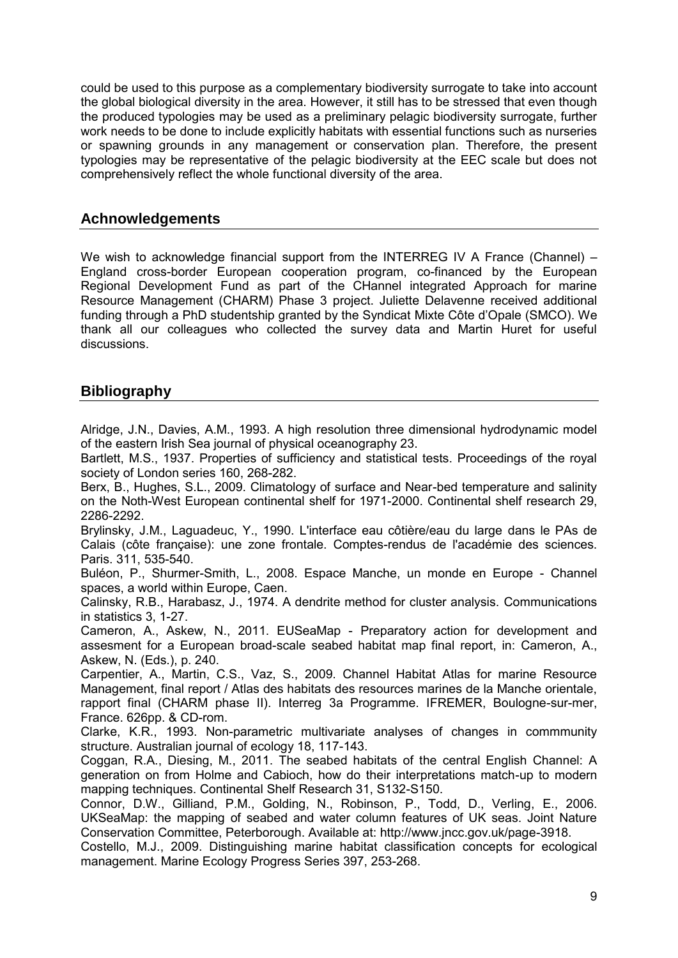could be used to this purpose as a complementary biodiversity surrogate to take into account the global biological diversity in the area. However, it still has to be stressed that even though the produced typologies may be used as a preliminary pelagic biodiversity surrogate, further work needs to be done to include explicitly habitats with essential functions such as nurseries or spawning grounds in any management or conservation plan. Therefore, the present typologies may be representative of the pelagic biodiversity at the EEC scale but does not comprehensively reflect the whole functional diversity of the area.

# **Achnowledgements**

We wish to acknowledge financial support from the INTERREG IV A France (Channel) – England cross-border European cooperation program, co-financed by the European Regional Development Fund as part of the CHannel integrated Approach for marine Resource Management (CHARM) Phase 3 project. Juliette Delavenne received additional funding through a PhD studentship granted by the Syndicat Mixte Côte d'Opale (SMCO). We thank all our colleagues who collected the survey data and Martin Huret for useful discussions.

# **Bibliography**

<span id="page-8-6"></span>Alridge, J.N., Davies, A.M., 1993. A high resolution three dimensional hydrodynamic model of the eastern Irish Sea journal of physical oceanography 23.

<span id="page-8-11"></span>Bartlett, M.S., 1937. Properties of sufficiency and statistical tests. Proceedings of the royal society of London series 160, 268-282.

<span id="page-8-8"></span>Berx, B., Hughes, S.L., 2009. Climatology of surface and Near-bed temperature and salinity on the Noth-West European continental shelf for 1971-2000. Continental shelf research 29, 2286-2292.

<span id="page-8-7"></span>Brylinsky, J.M., Laguadeuc, Y., 1990. L'interface eau côtière/eau du large dans le PAs de Calais (côte française): une zone frontale. Comptes-rendus de l'académie des sciences. Paris. 311, 535-540.

<span id="page-8-5"></span>Buléon, P., Shurmer-Smith, L., 2008. Espace Manche, un monde en Europe - Channel spaces, a world within Europe, Caen.

<span id="page-8-9"></span>Calinsky, R.B., Harabasz, J., 1974. A dendrite method for cluster analysis. Communications in statistics 3, 1-27.

<span id="page-8-2"></span>Cameron, A., Askew, N., 2011. EUSeaMap - Preparatory action for development and assesment for a European broad-scale seabed habitat map final report, in: Cameron, A., Askew, N. (Eds.), p. 240.

<span id="page-8-4"></span>Carpentier, A., Martin, C.S., Vaz, S., 2009. Channel Habitat Atlas for marine Resource Management, final report / Atlas des habitats des resources marines de la Manche orientale, rapport final (CHARM phase II). Interreg 3a Programme. IFREMER, Boulogne-sur-mer, France. 626pp. & CD-rom.

<span id="page-8-10"></span>Clarke, K.R., 1993. Non-parametric multivariate analyses of changes in commmunity structure. Australian journal of ecology 18, 117-143.

<span id="page-8-0"></span>Coggan, R.A., Diesing, M., 2011. The seabed habitats of the central English Channel: A generation on from Holme and Cabioch, how do their interpretations match-up to modern mapping techniques. Continental Shelf Research 31, S132-S150.

<span id="page-8-3"></span>Connor, D.W., Gilliand, P.M., Golding, N., Robinson, P., Todd, D., Verling, E., 2006. UKSeaMap: the mapping of seabed and water column features of UK seas. Joint Nature Conservation Committee, Peterborough. Available at: http://www.jncc.gov.uk/page-3918.

<span id="page-8-1"></span>Costello, M.J., 2009. Distinguishing marine habitat classification concepts for ecological management. Marine Ecology Progress Series 397, 253-268.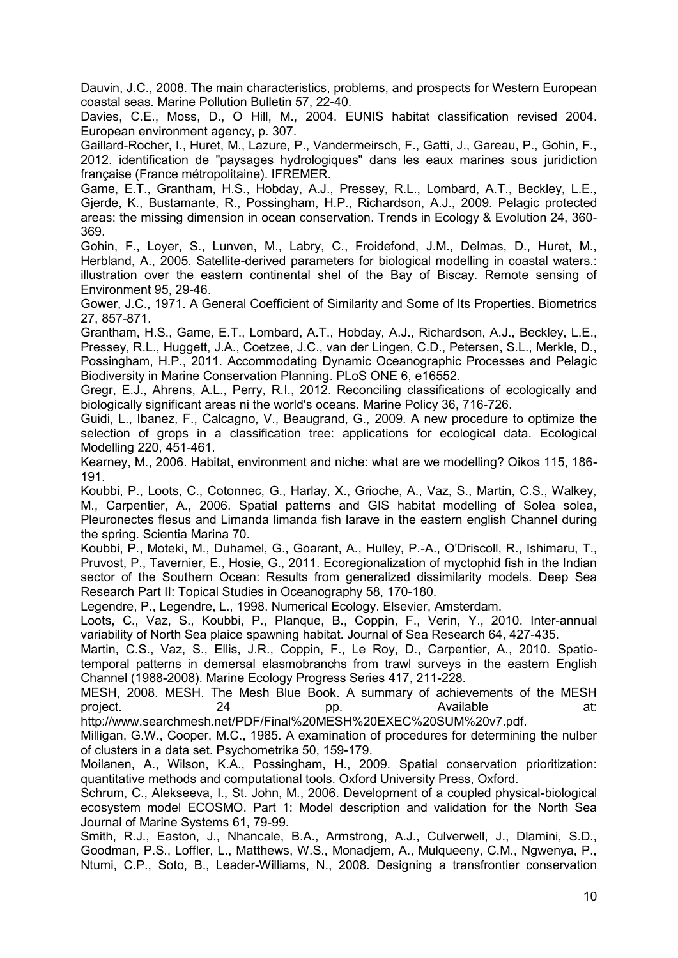<span id="page-9-5"></span>Dauvin, J.C., 2008. The main characteristics, problems, and prospects for Western European coastal seas. Marine Pollution Bulletin 57, 22-40.

<span id="page-9-2"></span>Davies, C.E., Moss, D., O Hill, M., 2004. EUNIS habitat classification revised 2004. European environment agency, p. 307.

<span id="page-9-16"></span>Gaillard-Rocher, I., Huret, M., Lazure, P., Vandermeirsch, F., Gatti, J., Gareau, P., Gohin, F., 2012. identification de "paysages hydrologiques" dans les eaux marines sous juridiction française (France métropolitaine). IFREMER.

<span id="page-9-3"></span>Game, E.T., Grantham, H.S., Hobday, A.J., Pressey, R.L., Lombard, A.T., Beckley, L.E., Gjerde, K., Bustamante, R., Possingham, H.P., Richardson, A.J., 2009. Pelagic protected areas: the missing dimension in ocean conservation. Trends in Ecology & Evolution 24, 360- 369.

<span id="page-9-9"></span>Gohin, F., Loyer, S., Lunven, M., Labry, C., Froidefond, J.M., Delmas, D., Huret, M., Herbland, A., 2005. Satellite-derived parameters for biological modelling in coastal waters.: illustration over the eastern continental shel of the Bay of Biscay. Remote sensing of Environment 95, 29-46.

<span id="page-9-11"></span>Gower, J.C., 1971. A General Coefficient of Similarity and Some of Its Properties. Biometrics 27, 857-871.

<span id="page-9-17"></span>Grantham, H.S., Game, E.T., Lombard, A.T., Hobday, A.J., Richardson, A.J., Beckley, L.E., Pressey, R.L., Huggett, J.A., Coetzee, J.C., van der Lingen, C.D., Petersen, S.L., Merkle, D., Possingham, H.P., 2011. Accommodating Dynamic Oceanographic Processes and Pelagic Biodiversity in Marine Conservation Planning. PLoS ONE 6, e16552.

<span id="page-9-18"></span>Gregr, E.J., Ahrens, A.L., Perry, R.I., 2012. Reconciling classifications of ecologically and biologically significant areas ni the world's oceans. Marine Policy 36, 716-726.

<span id="page-9-13"></span>Guidi, L., Ibanez, F., Calcagno, V., Beaugrand, G., 2009. A new procedure to optimize the selection of grops in a classification tree: applications for ecological data. Ecological Modelling 220, 451-461.

<span id="page-9-1"></span>Kearney, M., 2006. Habitat, environment and niche: what are we modelling? Oikos 115, 186- 191.

<span id="page-9-8"></span>Koubbi, P., Loots, C., Cotonnec, G., Harlay, X., Grioche, A., Vaz, S., Martin, C.S., Walkey, M., Carpentier, A., 2006. Spatial patterns and GIS habitat modelling of Solea solea, Pleuronectes flesus and Limanda limanda fish larave in the eastern english Channel during the spring. Scientia Marina 70.

<span id="page-9-19"></span>Koubbi, P., Moteki, M., Duhamel, G., Goarant, A., Hulley, P.-A., O'Driscoll, R., Ishimaru, T., Pruvost, P., Tavernier, E., Hosie, G., 2011. Ecoregionalization of myctophid fish in the Indian sector of the Southern Ocean: Results from generalized dissimilarity models. Deep Sea Research Part II: Topical Studies in Oceanography 58, 170-180.

<span id="page-9-12"></span>Legendre, P., Legendre, L., 1998. Numerical Ecology. Elsevier, Amsterdam.

<span id="page-9-4"></span>Loots, C., Vaz, S., Koubbi, P., Planque, B., Coppin, F., Verin, Y., 2010. Inter-annual variability of North Sea plaice spawning habitat. Journal of Sea Research 64, 427-435.

<span id="page-9-7"></span>Martin, C.S., Vaz, S., Ellis, J.R., Coppin, F., Le Roy, D., Carpentier, A., 2010. Spatiotemporal patterns in demersal elasmobranchs from trawl surveys in the eastern English Channel (1988-2008). Marine Ecology Progress Series 417, 211-228.

<span id="page-9-6"></span>MESH, 2008. MESH. The Mesh Blue Book. A summary of achievements of the MESH project. 24 pp. Available at:

http://www.searchmesh.net/PDF/Final%20MESH%20EXEC%20SUM%20v7.pdf.

<span id="page-9-14"></span>Milligan, G.W., Cooper, M.C., 1985. A examination of procedures for determining the nulber of clusters in a data set. Psychometrika 50, 159-179.

<span id="page-9-0"></span>Moilanen, A., Wilson, K.A., Possingham, H., 2009. Spatial conservation prioritization: quantitative methods and computational tools. Oxford University Press, Oxford.

<span id="page-9-10"></span>Schrum, C., Alekseeva, I., St. John, M., 2006. Development of a coupled physical-biological ecosystem model ECOSMO. Part 1: Model description and validation for the North Sea Journal of Marine Systems 61, 79-99.

<span id="page-9-15"></span>Smith, R.J., Easton, J., Nhancale, B.A., Armstrong, A.J., Culverwell, J., Dlamini, S.D., Goodman, P.S., Loffler, L., Matthews, W.S., Monadjem, A., Mulqueeny, C.M., Ngwenya, P., Ntumi, C.P., Soto, B., Leader-Williams, N., 2008. Designing a transfrontier conservation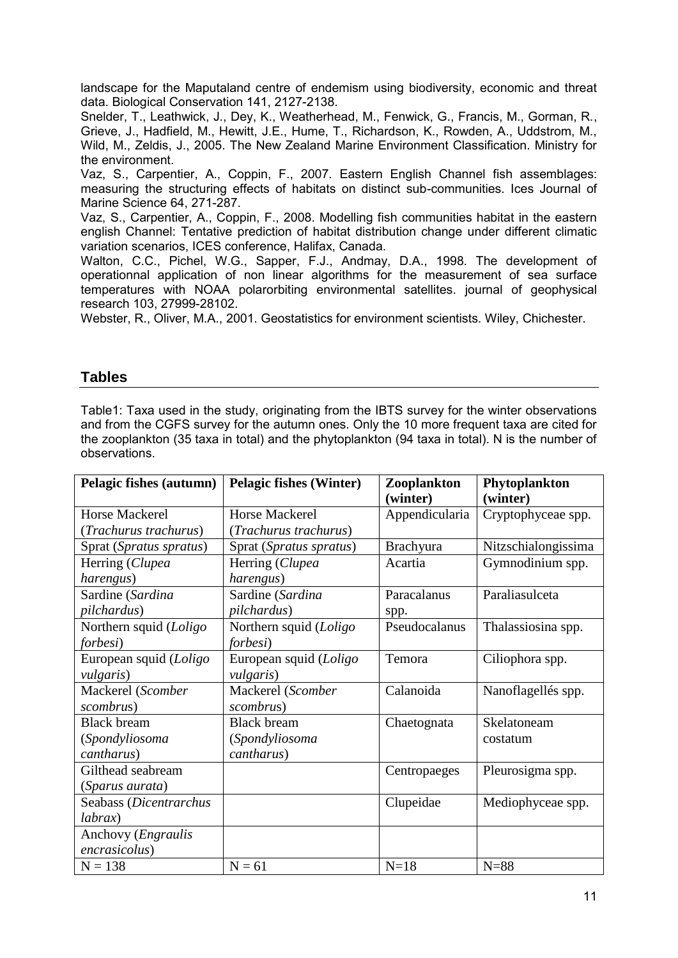landscape for the Maputaland centre of endemism using biodiversity, economic and threat data. Biological Conservation 141, 2127-2138.

<span id="page-10-3"></span>Snelder, T., Leathwick, J., Dey, K., Weatherhead, M., Fenwick, G., Francis, M., Gorman, R., Grieve, J., Hadfield, M., Hewitt, J.E., Hume, T., Richardson, K., Rowden, A., Uddstrom, M., Wild, M., Zeldis, J., 2005. The New Zealand Marine Environment Classification. Ministry for the environment.

<span id="page-10-4"></span>Vaz, S., Carpentier, A., Coppin, F., 2007. Eastern English Channel fish assemblages: measuring the structuring effects of habitats on distinct sub-communities. Ices Journal of Marine Science 64, 271-287.

<span id="page-10-0"></span>Vaz, S., Carpentier, A., Coppin, F., 2008. Modelling fish communities habitat in the eastern english Channel: Tentative prediction of habitat distribution change under different climatic variation scenarios, ICES conference, Halifax, Canada.

<span id="page-10-1"></span>Walton, C.C., Pichel, W.G., Sapper, F.J., Andmay, D.A., 1998. The development of operationnal application of non linear algorithms for the measurement of sea surface temperatures with NOAA polarorbiting environmental satellites. journal of geophysical research 103, 27999-28102.

<span id="page-10-2"></span>Webster, R., Oliver, M.A., 2001. Geostatistics for environment scientists. Wiley, Chichester.

## **Tables**

Table1: Taxa used in the study, originating from the IBTS survey for the winter observations and from the CGFS survey for the autumn ones. Only the 10 more frequent taxa are cited for the zooplankton (35 taxa in total) and the phytoplankton (94 taxa in total). N is the number of observations.

| Pelagic fishes (autumn) | <b>Pelagic fishes (Winter)</b> | Zooplankton      | Phytoplankton       |
|-------------------------|--------------------------------|------------------|---------------------|
|                         |                                | (winter)         | (winter)            |
| <b>Horse Mackerel</b>   | Horse Mackerel                 | Appendicularia   | Cryptophyceae spp.  |
| (Trachurus trachurus)   | (Trachurus trachurus)          |                  |                     |
| Sprat (Spratus spratus) | Sprat (Spratus spratus)        | <b>Brachyura</b> | Nitzschialongissima |
| Herring (Clupea         | Herring (Clupea                | Acartia          | Gymnodinium spp.    |
| harengus)               | harengus)                      |                  |                     |
| Sardine (Sardina        | Sardine (Sardina               | Paracalanus      | Paraliasulceta      |
| <i>pilchardus</i> )     | <i>pilchardus</i> )            | spp.             |                     |
| Northern squid (Loligo  | Northern squid (Loligo         | Pseudocalanus    | Thalassiosina spp.  |
| <i>forbesi</i> )        | <i>forbesi</i> )               |                  |                     |
| European squid (Loligo  | European squid (Loligo         | Temora           | Ciliophora spp.     |
| <i>vulgaris</i> )       | <i>vulgaris</i> )              |                  |                     |
| Mackerel (Scomber       | Mackerel (Scomber              | Calanoida        | Nanoflagellés spp.  |
| scombrus)               | scombrus)                      |                  |                     |
| <b>Black</b> bream      | <b>Black bream</b>             | Chaetognata      | Skelatoneam         |
| (Spondyliosoma          | (Spondyliosoma                 |                  | costatum            |
| cantharus)              | cantharus)                     |                  |                     |
| Gilthead seabream       |                                | Centropaeges     | Pleurosigma spp.    |
| (Sparus aurata)         |                                |                  |                     |
| Seabass (Dicentrarchus  |                                | Clupeidae        | Mediophyceae spp.   |
| labrax)                 |                                |                  |                     |
| Anchovy (Engraulis      |                                |                  |                     |
| <i>encrasicolus</i> )   |                                |                  |                     |
| $N = 138$               | $N = 61$                       | $N=18$           | $N=88$              |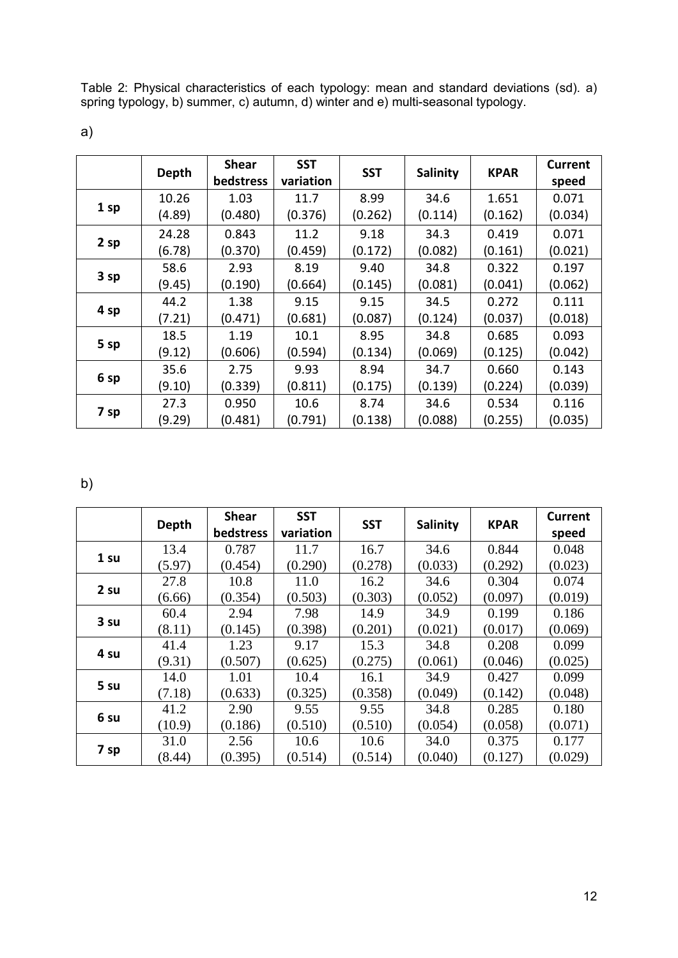Table 2: Physical characteristics of each typology: mean and standard deviations (sd). a) spring typology, b) summer, c) autumn, d) winter and e) multi-seasonal typology.

|      |              | <b>Shear</b> | <b>SST</b> | <b>SST</b> | <b>Salinity</b> | <b>KPAR</b> | <b>Current</b> |
|------|--------------|--------------|------------|------------|-----------------|-------------|----------------|
|      | <b>Depth</b> | bedstress    | variation  |            |                 |             | speed          |
|      | 10.26        | 1.03         | 11.7       | 8.99       | 34.6            | 1.651       | 0.071          |
| 1 sp | (4.89)       | (0.480)      | (0.376)    | (0.262)    | (0.114)         | (0.162)     | (0.034)        |
|      | 24.28        | 0.843        | 11.2       | 9.18       | 34.3            | 0.419       | 0.071          |
| 2 sp | (6.78)       | (0.370)      | (0.459)    | (0.172)    | (0.082)         | (0.161)     | (0.021)        |
|      | 58.6         | 2.93         | 8.19       | 9.40       | 34.8            | 0.322       | 0.197          |
| 3 sp | (9.45)       | (0.190)      | (0.664)    | (0.145)    | (0.081)         | (0.041)     | (0.062)        |
|      | 44.2         | 1.38         | 9.15       | 9.15       | 34.5            | 0.272       | 0.111          |
| 4 sp | (7.21)       | (0.471)      | (0.681)    | (0.087)    | (0.124)         | (0.037)     | (0.018)        |
|      | 18.5         | 1.19         | 10.1       | 8.95       | 34.8            | 0.685       | 0.093          |
| 5 sp | (9.12)       | (0.606)      | (0.594)    | (0.134)    | (0.069)         | (0.125)     | (0.042)        |
|      | 35.6         | 2.75         | 9.93       | 8.94       | 34.7            | 0.660       | 0.143          |
| 6 sp | (9.10)       | (0.339)      | (0.811)    | (0.175)    | (0.139)         | (0.224)     | (0.039)        |
|      | 27.3         | 0.950        | 10.6       | 8.74       | 34.6            | 0.534       | 0.116          |
| 7 sp | (9.29)       | (0.481)      | (0.791)    | (0.138)    | (0.088)         | (0.255)     | (0.035)        |

a)

b)

|      | <b>Depth</b> | <b>Shear</b> | <b>SST</b> | <b>SST</b> | <b>Salinity</b> | <b>KPAR</b> | <b>Current</b> |
|------|--------------|--------------|------------|------------|-----------------|-------------|----------------|
|      |              | bedstress    | variation  |            |                 |             | speed          |
| 1 su | 13.4         | 0.787        | 11.7       | 16.7       | 34.6            | 0.844       | 0.048          |
|      | (5.97)       | (0.454)      | (0.290)    | (0.278)    | (0.033)         | (0.292)     | (0.023)        |
|      | 27.8         | 10.8         | 11.0       | 16.2       | 34.6            | 0.304       | 0.074          |
| 2 su | (6.66)       | (0.354)      | (0.503)    | (0.303)    | (0.052)         | (0.097)     | (0.019)        |
|      | 60.4         | 2.94         | 7.98       | 14.9       | 34.9            | 0.199       | 0.186          |
| 3 su | (8.11)       | (0.145)      | (0.398)    | (0.201)    | (0.021)         | (0.017)     | (0.069)        |
|      | 41.4         | 1.23         | 9.17       | 15.3       | 34.8            | 0.208       | 0.099          |
| 4 su | (9.31)       | (0.507)      | (0.625)    | (0.275)    | (0.061)         | (0.046)     | (0.025)        |
|      | 14.0         | 1.01         | 10.4       | 16.1       | 34.9            | 0.427       | 0.099          |
| 5 su | (7.18)       | (0.633)      | (0.325)    | (0.358)    | (0.049)         | (0.142)     | (0.048)        |
|      | 41.2         | 2.90         | 9.55       | 9.55       | 34.8            | 0.285       | 0.180          |
| 6 su | (10.9)       | (0.186)      | (0.510)    | (0.510)    | (0.054)         | (0.058)     | (0.071)        |
|      | 31.0         | 2.56         | 10.6       | 10.6       | 34.0            | 0.375       | 0.177          |
| 7 sp | (8.44)       | (0.395)      | (0.514)    | (0.514)    | (0.040)         | (0.127)     | (0.029)        |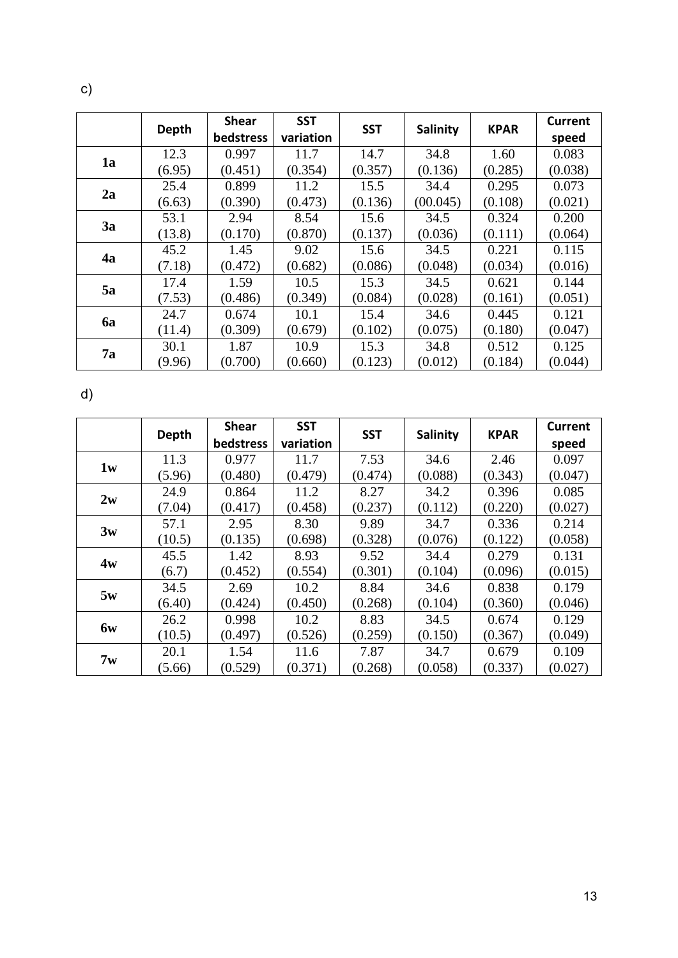| I<br>I<br>×<br>۰. |  |
|-------------------|--|

|           | <b>Depth</b> | <b>Shear</b><br>bedstress | <b>SST</b><br>variation | <b>SST</b> | <b>Salinity</b> | <b>KPAR</b> | <b>Current</b><br>speed |
|-----------|--------------|---------------------------|-------------------------|------------|-----------------|-------------|-------------------------|
|           | 12.3         | 0.997                     | 11.7                    | 14.7       | 34.8            | 1.60        | 0.083                   |
| 1a        | (6.95)       | (0.451)                   | (0.354)                 | (0.357)    | (0.136)         | (0.285)     | (0.038)                 |
| 2a        | 25.4         | 0.899                     | 11.2                    | 15.5       | 34.4            | 0.295       | 0.073                   |
|           | (6.63)       | (0.390)                   | (0.473)                 | (0.136)    | (00.045)        | (0.108)     | (0.021)                 |
| 3a        | 53.1         | 2.94                      | 8.54                    | 15.6       | 34.5            | 0.324       | 0.200                   |
|           | (13.8)       | (0.170)                   | (0.870)                 | (0.137)    | (0.036)         | (0.111)     | (0.064)                 |
| 4a        | 45.2         | 1.45                      | 9.02                    | 15.6       | 34.5            | 0.221       | 0.115                   |
|           | (7.18)       | (0.472)                   | (0.682)                 | (0.086)    | (0.048)         | (0.034)     | (0.016)                 |
| 5a        | 17.4         | 1.59                      | 10.5                    | 15.3       | 34.5            | 0.621       | 0.144                   |
|           | (7.53)       | (0.486)                   | (0.349)                 | (0.084)    | (0.028)         | (0.161)     | (0.051)                 |
| <b>6a</b> | 24.7         | 0.674                     | 10.1                    | 15.4       | 34.6            | 0.445       | 0.121                   |
|           | (11.4)       | (0.309)                   | (0.679)                 | (0.102)    | (0.075)         | (0.180)     | (0.047)                 |
| 7a        | 30.1         | 1.87                      | 10.9                    | 15.3       | 34.8            | 0.512       | 0.125                   |
|           | (9.96)       | (0.700)                   | (0.660)                 | (0.123)    | (0.012)         | (0.184)     | (0.044)                 |

d)

|                | <b>Depth</b> | <b>Shear</b> | <b>SST</b> | <b>SST</b> | <b>Salinity</b> | <b>KPAR</b> | Current |
|----------------|--------------|--------------|------------|------------|-----------------|-------------|---------|
|                |              | bedstress    | variation  |            |                 |             | speed   |
| 1w             | 11.3         | 0.977        | 11.7       | 7.53       | 34.6            | 2.46        | 0.097   |
|                | (5.96)       | (0.480)      | (0.479)    | (0.474)    | (0.088)         | (0.343)     | (0.047) |
| 2w             | 24.9         | 0.864        | 11.2       | 8.27       | 34.2            | 0.396       | 0.085   |
|                | (7.04)       | (0.417)      | (0.458)    | (0.237)    | (0.112)         | (0.220)     | (0.027) |
| 3w             | 57.1         | 2.95         | 8.30       | 9.89       | 34.7            | 0.336       | 0.214   |
|                | (10.5)       | (0.135)      | (0.698)    | (0.328)    | (0.076)         | (0.122)     | (0.058) |
|                | 45.5         | 1.42         | 8.93       | 9.52       | 34.4            | 0.279       | 0.131   |
| 4 <sub>W</sub> | (6.7)        | (0.452)      | (0.554)    | (0.301)    | (0.104)         | (0.096)     | (0.015) |
| 5w             | 34.5         | 2.69         | 10.2       | 8.84       | 34.6            | 0.838       | 0.179   |
|                | (6.40)       | (0.424)      | (0.450)    | (0.268)    | (0.104)         | (0.360)     | (0.046) |
| 6w             | 26.2         | 0.998        | 10.2       | 8.83       | 34.5            | 0.674       | 0.129   |
|                | (10.5)       | (0.497)      | (0.526)    | (0.259)    | (0.150)         | (0.367)     | (0.049) |
| 7w             | 20.1         | 1.54         | 11.6       | 7.87       | 34.7            | 0.679       | 0.109   |
|                | (5.66)       | (0.529)      | (0.371)    | (0.268)    | (0.058)         | (0.337)     | (0.027) |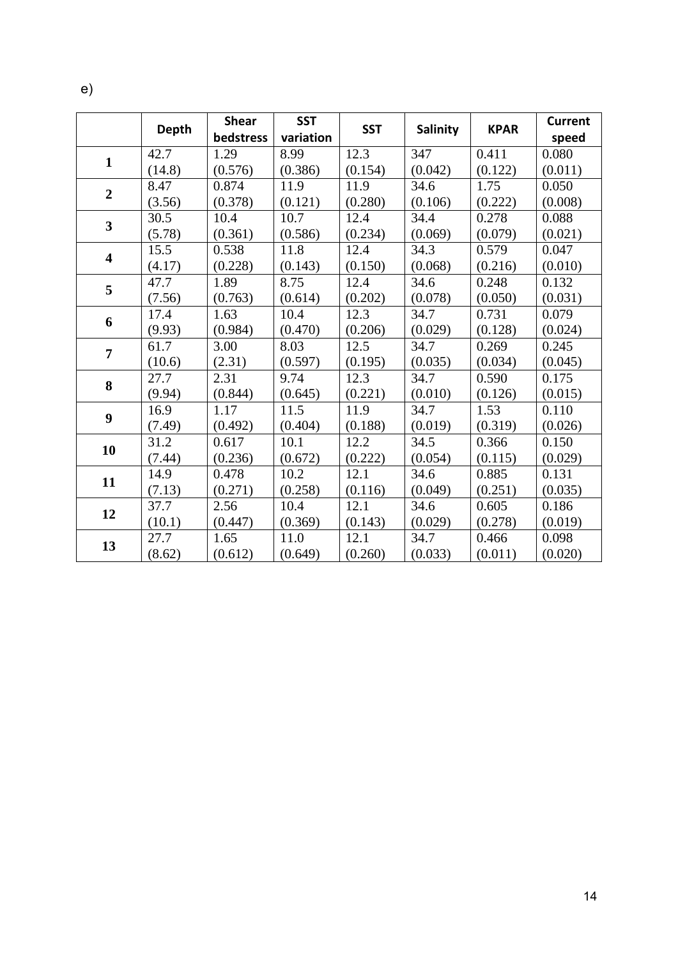|                         | <b>Depth</b> | <b>Shear</b> | <b>SST</b> | <b>SST</b> | <b>Salinity</b> | <b>KPAR</b> | <b>Current</b> |
|-------------------------|--------------|--------------|------------|------------|-----------------|-------------|----------------|
|                         |              | bedstress    | variation  |            |                 |             | speed          |
|                         | 42.7         | 1.29         | 8.99       | 12.3       | 347             | 0.411       | 0.080          |
| $\mathbf{1}$            | (14.8)       | (0.576)      | (0.386)    | (0.154)    | (0.042)         | (0.122)     | (0.011)        |
| $\overline{2}$          | 8.47         | 0.874        | 11.9       | 11.9       | 34.6            | 1.75        | 0.050          |
|                         | (3.56)       | (0.378)      | (0.121)    | (0.280)    | (0.106)         | (0.222)     | (0.008)        |
| $\overline{\mathbf{3}}$ | 30.5         | 10.4         | 10.7       | 12.4       | 34.4            | 0.278       | 0.088          |
|                         | (5.78)       | (0.361)      | (0.586)    | (0.234)    | (0.069)         | (0.079)     | (0.021)        |
| $\overline{\mathbf{4}}$ | 15.5         | 0.538        | 11.8       | 12.4       | 34.3            | 0.579       | 0.047          |
|                         | (4.17)       | (0.228)      | (0.143)    | (0.150)    | (0.068)         | (0.216)     | (0.010)        |
| 5                       | 47.7         | 1.89         | 8.75       | 12.4       | 34.6            | 0.248       | 0.132          |
|                         | (7.56)       | (0.763)      | (0.614)    | (0.202)    | (0.078)         | (0.050)     | (0.031)        |
| 6                       | 17.4         | 1.63         | 10.4       | 12.3       | 34.7            | 0.731       | 0.079          |
|                         | (9.93)       | (0.984)      | (0.470)    | (0.206)    | (0.029)         | (0.128)     | (0.024)        |
| 7                       | 61.7         | 3.00         | 8.03       | 12.5       | 34.7            | 0.269       | 0.245          |
|                         | (10.6)       | (2.31)       | (0.597)    | (0.195)    | (0.035)         | (0.034)     | (0.045)        |
| 8                       | 27.7         | 2.31         | 9.74       | 12.3       | 34.7            | 0.590       | 0.175          |
|                         | (9.94)       | (0.844)      | (0.645)    | (0.221)    | (0.010)         | (0.126)     | (0.015)        |
| $\boldsymbol{9}$        | 16.9         | 1.17         | 11.5       | 11.9       | 34.7            | 1.53        | 0.110          |
|                         | (7.49)       | (0.492)      | (0.404)    | (0.188)    | (0.019)         | (0.319)     | (0.026)        |
| 10                      | 31.2         | 0.617        | 10.1       | 12.2       | 34.5            | 0.366       | 0.150          |
|                         | (7.44)       | (0.236)      | (0.672)    | (0.222)    | (0.054)         | (0.115)     | (0.029)        |
| 11                      | 14.9         | 0.478        | 10.2       | 12.1       | 34.6            | 0.885       | 0.131          |
|                         | (7.13)       | (0.271)      | (0.258)    | (0.116)    | (0.049)         | (0.251)     | (0.035)        |
| 12                      | 37.7         | 2.56         | 10.4       | 12.1       | 34.6            | 0.605       | 0.186          |
|                         | (10.1)       | (0.447)      | (0.369)    | (0.143)    | (0.029)         | (0.278)     | (0.019)        |
|                         | 27.7         | 1.65         | 11.0       | 12.1       | 34.7            | 0.466       | 0.098          |
| 13                      | (8.62)       | (0.612)      | (0.649)    | (0.260)    | (0.033)         | (0.011)     | (0.020)        |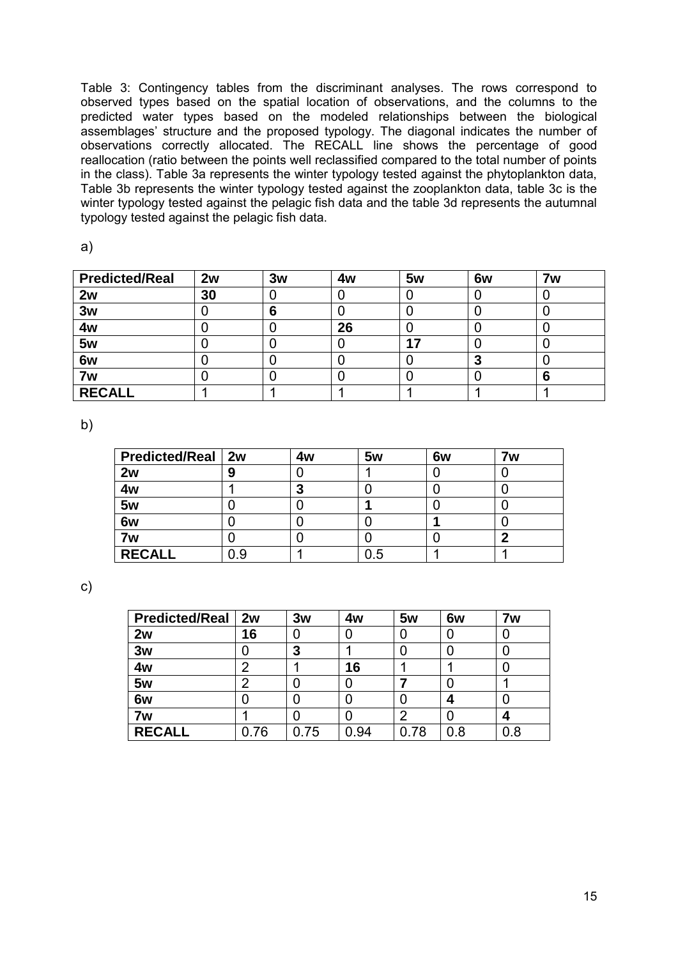Table 3: Contingency tables from the discriminant analyses. The rows correspond to observed types based on the spatial location of observations, and the columns to the predicted water types based on the modeled relationships between the biological assemblages' structure and the proposed typology. The diagonal indicates the number of observations correctly allocated. The RECALL line shows the percentage of good reallocation (ratio between the points well reclassified compared to the total number of points in the class). Table 3a represents the winter typology tested against the phytoplankton data, Table 3b represents the winter typology tested against the zooplankton data, table 3c is the winter typology tested against the pelagic fish data and the table 3d represents the autumnal typology tested against the pelagic fish data.

| ÷      |  |
|--------|--|
| ٦<br>× |  |

| <b>Predicted/Real</b> | 2w | 3w | 4w | 5w | 6w | 7w |
|-----------------------|----|----|----|----|----|----|
| 2w                    | 30 |    |    |    |    |    |
| 3w                    |    |    |    |    |    |    |
| 4w                    |    |    | 26 |    |    |    |
| 5w                    |    |    |    | 47 |    |    |
| 6w                    |    |    |    |    | N  |    |
| 7w                    |    |    |    |    |    | 6  |
| <b>RECALL</b>         |    |    |    |    |    |    |

b)

| Predicted/Real   2w |    | 4w | 5w  | 6w | 7w |
|---------------------|----|----|-----|----|----|
| 2w                  | 9  |    |     |    |    |
| 4w                  |    |    |     |    |    |
| 5w                  |    |    |     |    |    |
| 6w                  |    |    |     |    |    |
| 7w                  |    |    |     |    |    |
| <b>RECALL</b>       | .9 |    | า 5 |    |    |

c)

| <b>Predicted/Real   2w</b> |      | 3w   | 4w   | 5w   | 6w  | 7w  |
|----------------------------|------|------|------|------|-----|-----|
| 2w                         | 16   |      |      |      |     |     |
| 3w                         |      | 3    |      |      |     |     |
| 4w                         |      |      | 16   |      |     |     |
| 5w                         | C    |      |      |      |     |     |
| 6w                         |      |      |      |      |     |     |
| 7w                         |      |      |      | っ    |     |     |
| <b>RECALL</b>              | 0.76 | 0.75 | 0.94 | 0.78 | 0.8 | 0.8 |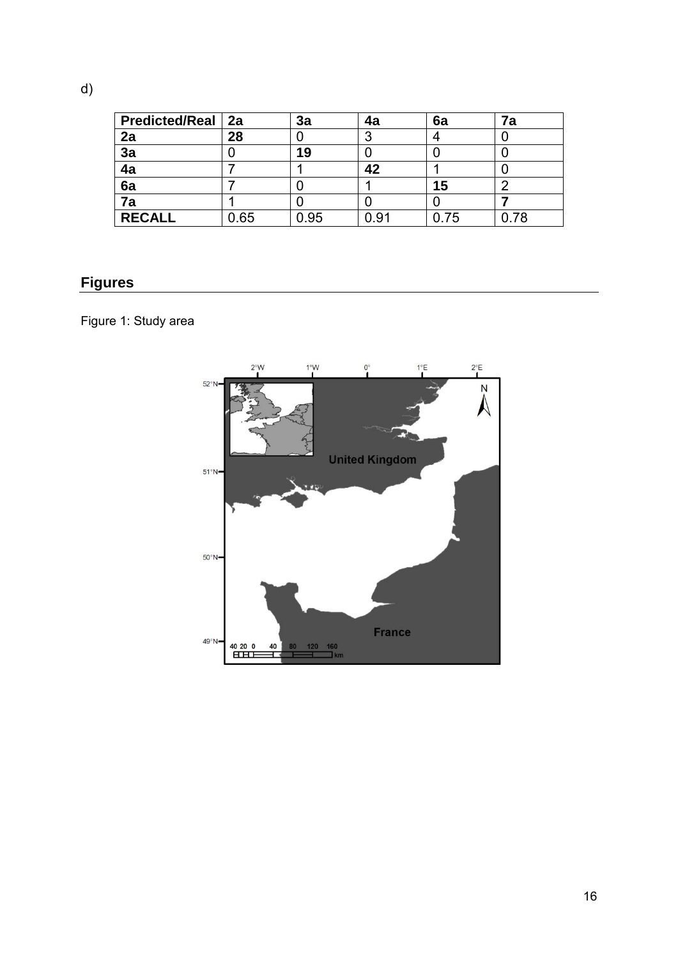| <b>Predicted/Real</b> | 2a   | 3a   | 4a               | 6a   | 7a   |
|-----------------------|------|------|------------------|------|------|
| 2a                    | 28   |      | n                |      |      |
| 3a                    |      | 19   |                  |      |      |
| 4a                    |      |      | 42               |      |      |
| 6a                    |      |      |                  | 15   |      |
| 7a                    |      |      |                  |      |      |
| <b>RECALL</b>         | 0.65 | 0.95 | 0.9 <sup>4</sup> | 0.75 | 0.78 |

# **Figures**

Figure 1: Study area



d)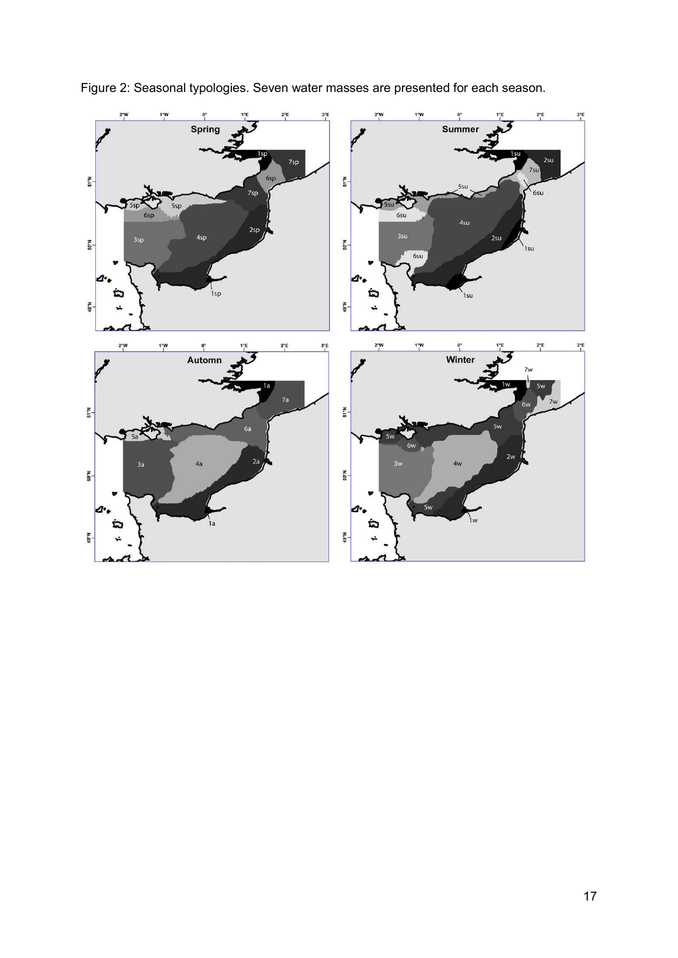

Figure 2: Seasonal typologies. Seven water masses are presented for each season.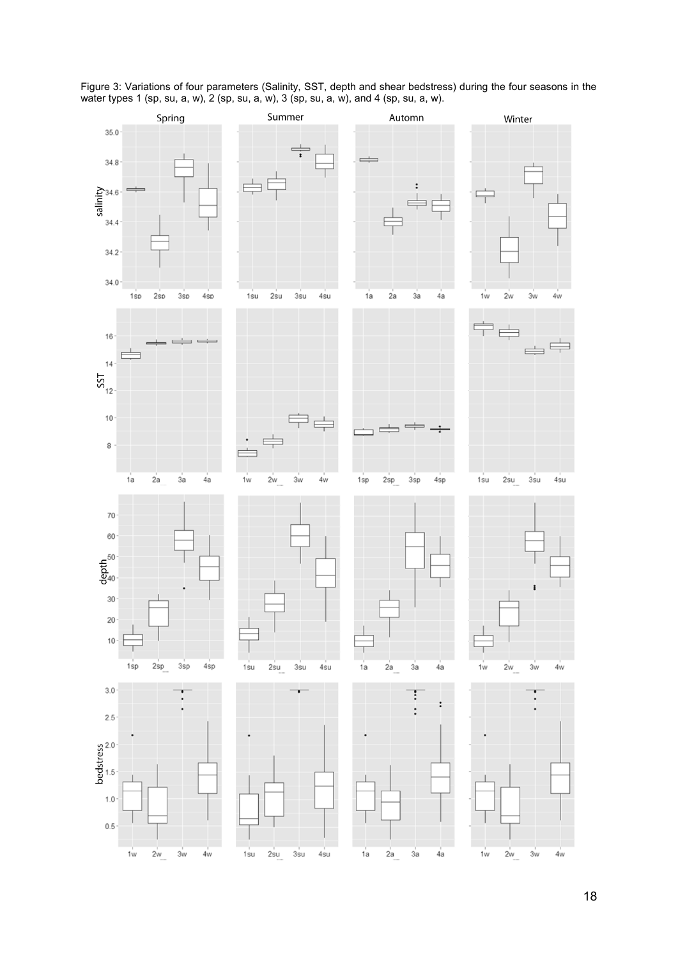

Figure 3: Variations of four parameters (Salinity, SST, depth and shear bedstress) during the four seasons in the water types 1 (sp, su, a, w), 2 (sp, su, a, w), 3 (sp, su, a, w), and 4 (sp, su, a, w).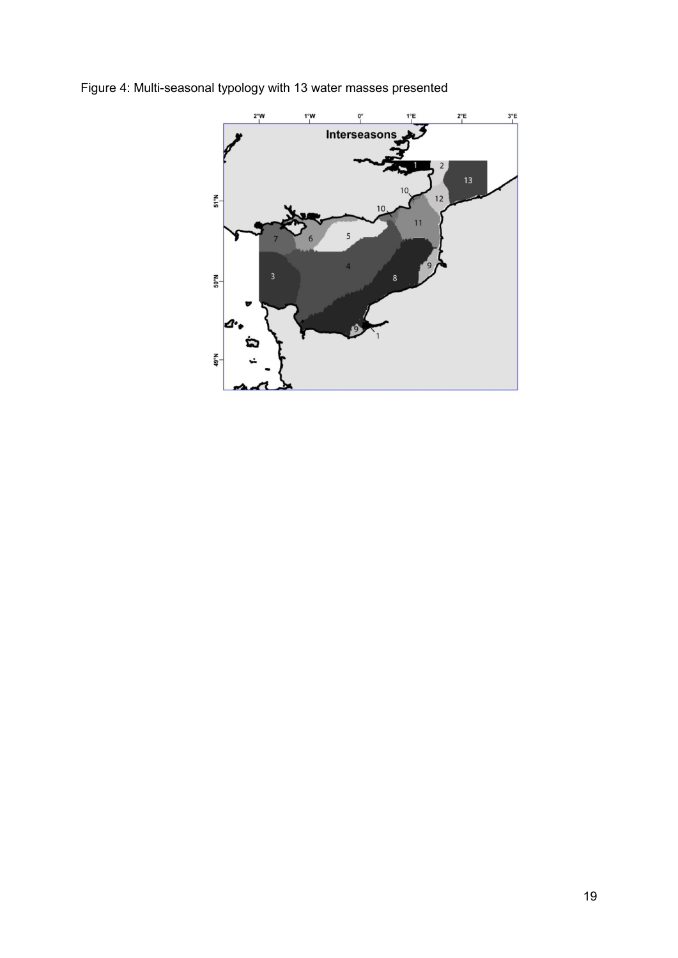

Figure 4: Multi-seasonal typology with 13 water masses presented